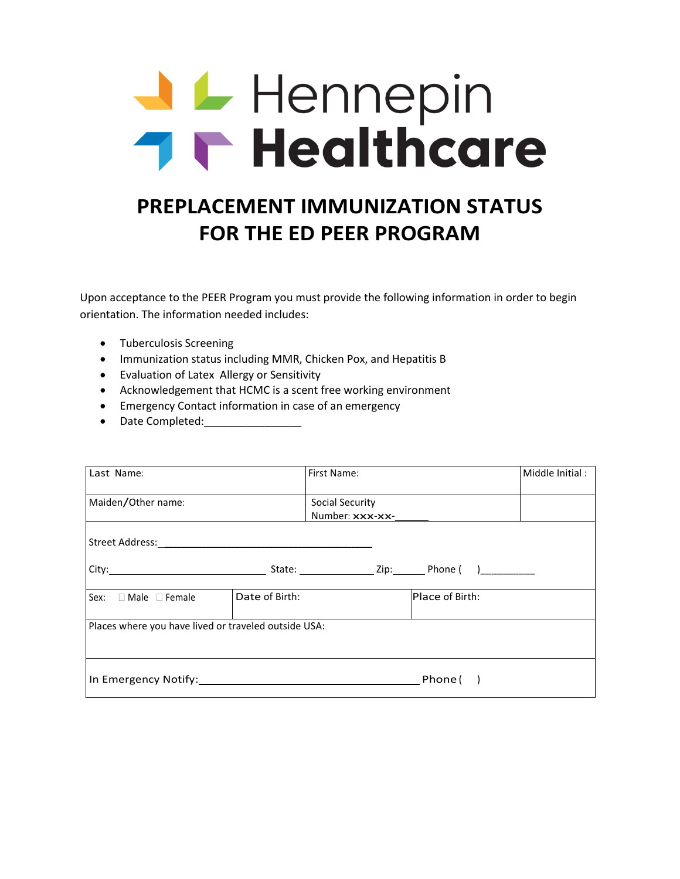# **J L** Hennepin **THE Healthcare**

# **PREPLACEMENT IMMUNIZATION STATUS FOR THE ED PEER PROGRAM**

Upon acceptance to the PEER Program you must provide the following information in order to begin orientation. The information needed includes:

- Tuberculosis Screening
- Immunization status including MMR, Chicken Pox, and Hepatitis B
- Evaluation of Latex Allergy or Sensitivity
- Acknowledgement that HCMC is a scent free working environment
- Emergency Contact information in case of an emergency
- Date Completed:

| Last Name:                                                       |                | First Name:                        |                 | Middle Initial: |
|------------------------------------------------------------------|----------------|------------------------------------|-----------------|-----------------|
| Maiden/Other name:                                               |                | Social Security<br>Number: xxx-xx- |                 |                 |
|                                                                  |                |                                    |                 |                 |
|                                                                  |                |                                    |                 |                 |
| Sex: $\Box$ Male $\Box$ Female                                   | Date of Birth: |                                    | Place of Birth: |                 |
| Places where you have lived or traveled outside USA:             |                |                                    |                 |                 |
| In Emergency Notify: Management Control of the Emergency Notify: |                |                                    | Phone (         |                 |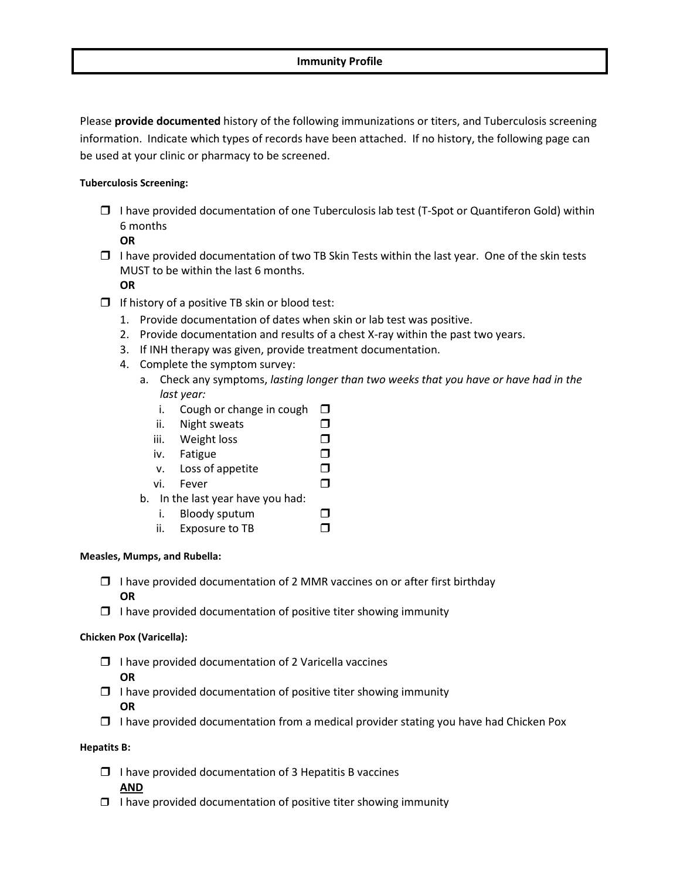Please **provide documented** history of the following immunizations or titers, and Tuberculosis screening information. Indicate which types of records have been attached. If no history, the following page can be used at your clinic or pharmacy to be screened.

#### **Tuberculosis Screening:**

 $\Box$  I have provided documentation of one Tuberculosis lab test (T-Spot or Quantiferon Gold) within 6 months

**OR**

- $\Box$  I have provided documentation of two TB Skin Tests within the last year. One of the skin tests MUST to be within the last 6 months.
	- **OR**
- $\Box$  If history of a positive TB skin or blood test:
	- 1. Provide documentation of dates when skin or lab test was positive.
	- 2. Provide documentation and results of a chest X-ray within the past two years.
	- 3. If INH therapy was given, provide treatment documentation.
	- 4. Complete the symptom survey:
		- a. Check any symptoms, *lasting longer than two weeks that you have or have had in the last year:*
			- i. Cough or change in cough  $\Box$
			- ii. Night sweats  $\square$
			- iii. Weight loss  $\square$
			- iv. Fatigue
			- v. Loss of appetite  $\square$
			- vi. Fever
		- b. In the last year have you had:
			- i. Bloody sputum
			- ii. Exposure to TB  $\Box$

#### **Measles, Mumps, and Rubella:**

- $\Box$  I have provided documentation of 2 MMR vaccines on or after first birthday **OR**
- $\Box$  I have provided documentation of positive titer showing immunity

#### **Chicken Pox (Varicella):**

- $\Box$  I have provided documentation of 2 Varicella vaccines **OR**
- $\Box$  I have provided documentation of positive titer showing immunity **OR**
- $\Box$  I have provided documentation from a medical provider stating you have had Chicken Pox

#### **Hepatits B:**

 $\Box$  I have provided documentation of 3 Hepatitis B vaccines

#### **AND**

 $\Box$  I have provided documentation of positive titer showing immunity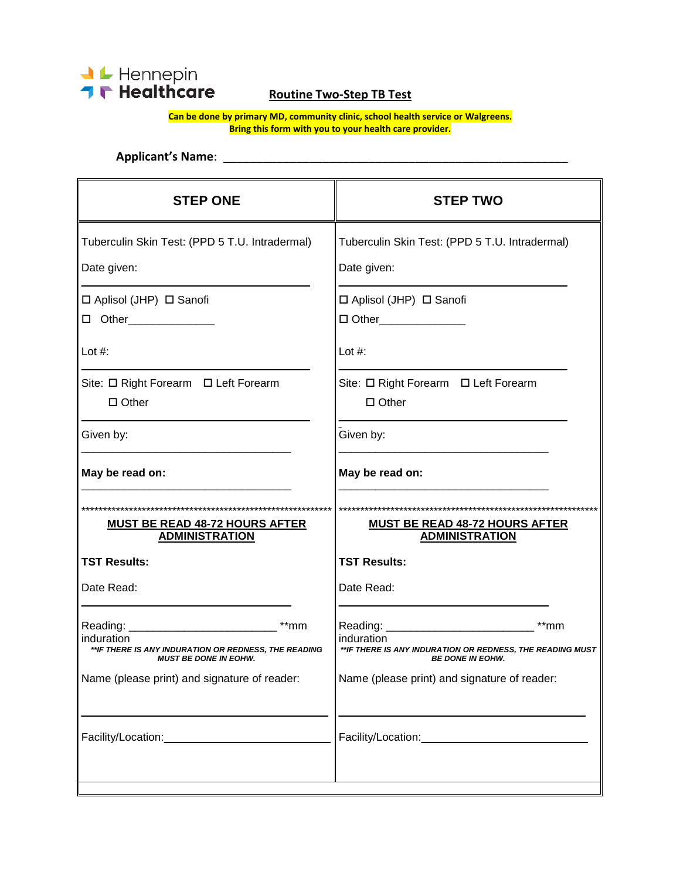

# **Routine Two-Step TB Test**

**Can be done by primary MD, community clinic, school health service or Walgreens. Bring this form with you to your health care provider.**

## **Applicant's Name**: \_\_\_\_\_\_\_\_\_\_\_\_\_\_\_\_\_\_\_\_\_\_\_\_\_\_\_\_\_\_\_\_\_\_\_\_\_\_\_\_\_\_\_\_\_\_\_\_\_\_\_\_

| <b>STEP ONE</b>                                                                                              | <b>STEP TWO</b>                                                                                               |
|--------------------------------------------------------------------------------------------------------------|---------------------------------------------------------------------------------------------------------------|
| Tuberculin Skin Test: (PPD 5 T.U. Intradermal)<br>Date given:                                                | Tuberculin Skin Test: (PPD 5 T.U. Intradermal)<br>Date given:                                                 |
| $\Box$ Aplisol (JHP) $\Box$ Sanofi<br>D Other______________                                                  | □ Aplisol (JHP) □ Sanofi<br>□ Other_______________                                                            |
| Lot $#$ :                                                                                                    | Lot $#$ :                                                                                                     |
| Site: □ Right Forearm □ Left Forearm<br>$\Box$ Other                                                         | Site: □ Right Forearm □ Left Forearm<br>$\Box$ Other                                                          |
| Given by:                                                                                                    | Given by:                                                                                                     |
| May be read on:                                                                                              | May be read on:                                                                                               |
| MUST BE READ 48-72 HOURS AFTER<br><b>ADMINISTRATION</b>                                                      | MUST BE READ 48-72 HOURS AFTER<br><b>ADMINISTRATION</b>                                                       |
| <b>TST Results:</b>                                                                                          | <b>TST Results:</b>                                                                                           |
| Date Read:                                                                                                   | Date Read:                                                                                                    |
| $**mm$<br>induration<br>**IF THERE IS ANY INDURATION OR REDNESS, THE READING<br><b>MUST BE DONE IN EOHW.</b> | $**$ mm<br>induration<br>**IF THERE IS ANY INDURATION OR REDNESS, THE READING MUST<br><b>BE DONE IN EOHW.</b> |
| Name (please print) and signature of reader:                                                                 | Name (please print) and signature of reader:                                                                  |
|                                                                                                              |                                                                                                               |